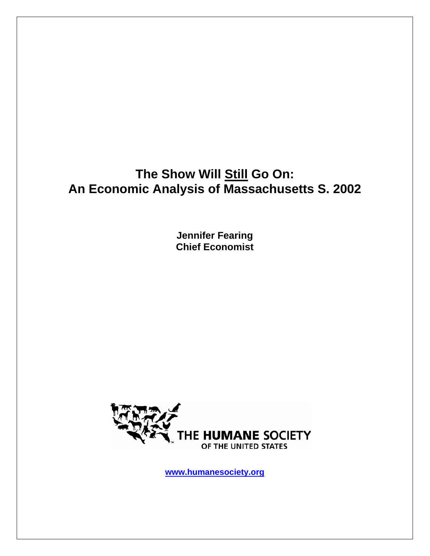# The Show Will **Still Go On: An Economic Analysis of Massachusetts S. 2002**

**Jennifer Fearing Chief Economist** 



**www.humanesociety.org**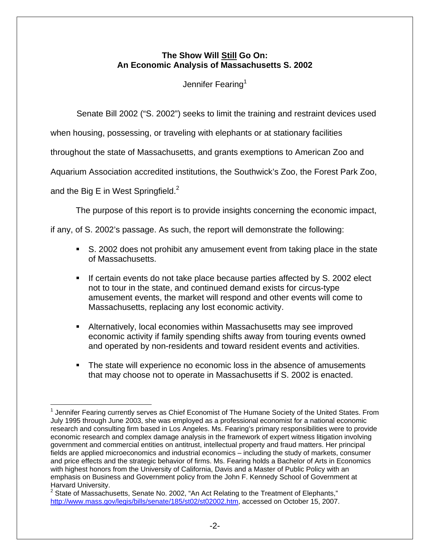### **The Show Will Still Go On: An Economic Analysis of Massachusetts S. 2002**

Jennifer Fearing<sup>1</sup>

Senate Bill 2002 ("S. 2002") seeks to limit the training and restraint devices used

when housing, possessing, or traveling with elephants or at stationary facilities

throughout the state of Massachusetts, and grants exemptions to American Zoo and

Aquarium Association accredited institutions, the Southwick's Zoo, the Forest Park Zoo,

and the Big E in West Springfield. $2$ 

The purpose of this report is to provide insights concerning the economic impact,

if any, of S. 2002's passage. As such, the report will demonstrate the following:

- S. 2002 does not prohibit any amusement event from taking place in the state of Massachusetts.
- If certain events do not take place because parties affected by S. 2002 elect not to tour in the state, and continued demand exists for circus-type amusement events, the market will respond and other events will come to Massachusetts, replacing any lost economic activity.
- Alternatively, local economies within Massachusetts may see improved economic activity if family spending shifts away from touring events owned and operated by non-residents and toward resident events and activities.
- The state will experience no economic loss in the absence of amusements that may choose not to operate in Massachusetts if S. 2002 is enacted.

<sup>1</sup>  $1$  Jennifer Fearing currently serves as Chief Economist of The Humane Society of the United States. From July 1995 through June 2003, she was employed as a professional economist for a national economic research and consulting firm based in Los Angeles. Ms. Fearing's primary responsibilities were to provide economic research and complex damage analysis in the framework of expert witness litigation involving government and commercial entities on antitrust, intellectual property and fraud matters. Her principal fields are applied microeconomics and industrial economics – including the study of markets, consumer and price effects and the strategic behavior of firms. Ms. Fearing holds a Bachelor of Arts in Economics with highest honors from the University of California, Davis and a Master of Public Policy with an emphasis on Business and Government policy from the John F. Kennedy School of Government at Harvard University.

<sup>&</sup>lt;sup>2</sup> State of Massachusetts, Senate No. 2002, "An Act Relating to the Treatment of Elephants," http://www.mass.gov/legis/bills/senate/185/st02/st02002.htm, accessed on October 15, 2007.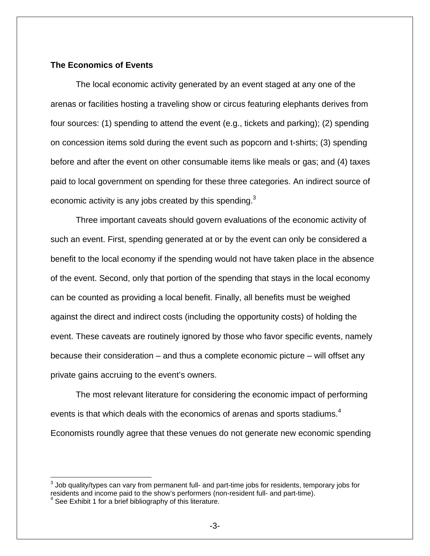#### **The Economics of Events**

The local economic activity generated by an event staged at any one of the arenas or facilities hosting a traveling show or circus featuring elephants derives from four sources: (1) spending to attend the event (e.g., tickets and parking); (2) spending on concession items sold during the event such as popcorn and t-shirts; (3) spending before and after the event on other consumable items like meals or gas; and (4) taxes paid to local government on spending for these three categories. An indirect source of economic activity is any jobs created by this spending. $3$ 

Three important caveats should govern evaluations of the economic activity of such an event. First, spending generated at or by the event can only be considered a benefit to the local economy if the spending would not have taken place in the absence of the event. Second, only that portion of the spending that stays in the local economy can be counted as providing a local benefit. Finally, all benefits must be weighed against the direct and indirect costs (including the opportunity costs) of holding the event. These caveats are routinely ignored by those who favor specific events, namely because their consideration – and thus a complete economic picture – will offset any private gains accruing to the event's owners.

 The most relevant literature for considering the economic impact of performing events is that which deals with the economics of arenas and sports stadiums.<sup>4</sup> Economists roundly agree that these venues do not generate new economic spending

 $^3$  Job quality/types can vary from permanent full- and part-time jobs for residents, temporary jobs for residents and income paid to the show's performers (non-resident full- and part-time).

<sup>&</sup>lt;sup>4</sup> See Exhibit 1 for a brief bibliography of this literature.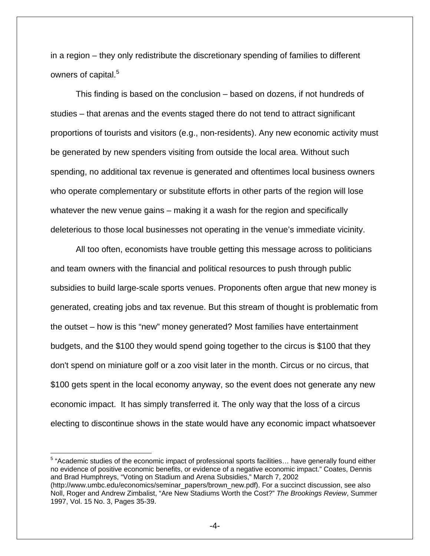in a region – they only redistribute the discretionary spending of families to different owners of capital.<sup>5</sup>

This finding is based on the conclusion – based on dozens, if not hundreds of studies – that arenas and the events staged there do not tend to attract significant proportions of tourists and visitors (e.g., non-residents). Any new economic activity must be generated by new spenders visiting from outside the local area. Without such spending, no additional tax revenue is generated and oftentimes local business owners who operate complementary or substitute efforts in other parts of the region will lose whatever the new venue gains – making it a wash for the region and specifically deleterious to those local businesses not operating in the venue's immediate vicinity.

 All too often, economists have trouble getting this message across to politicians and team owners with the financial and political resources to push through public subsidies to build large-scale sports venues. Proponents often argue that new money is generated, creating jobs and tax revenue. But this stream of thought is problematic from the outset – how is this "new" money generated? Most families have entertainment budgets, and the \$100 they would spend going together to the circus is \$100 that they don't spend on miniature golf or a zoo visit later in the month. Circus or no circus, that \$100 gets spent in the local economy anyway, so the event does not generate any new economic impact. It has simply transferred it. The only way that the loss of a circus electing to discontinue shows in the state would have any economic impact whatsoever

<sup>5</sup> "Academic studies of the economic impact of professional sports facilities... have generally found either no evidence of positive economic benefits, or evidence of a negative economic impact." Coates, Dennis and Brad Humphreys, "Voting on Stadium and Arena Subsidies," March 7, 2002 (http://www.umbc.edu/economics/seminar\_papers/brown\_new.pdf). For a succinct discussion, see also Noll, Roger and Andrew Zimbalist, "Are New Stadiums Worth the Cost?" *The Brookings Review*, Summer 1997, Vol. 15 No. 3, Pages 35-39.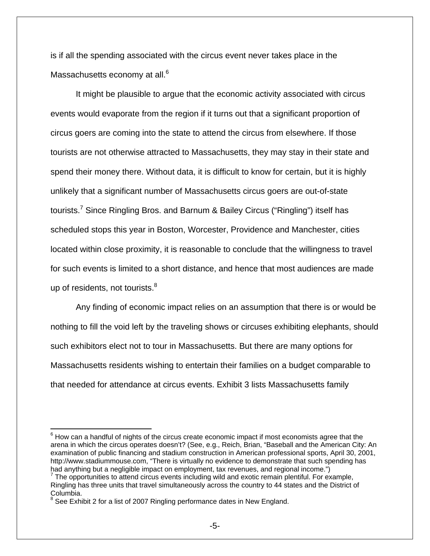is if all the spending associated with the circus event never takes place in the Massachusetts economy at all.<sup>6</sup>

 It might be plausible to argue that the economic activity associated with circus events would evaporate from the region if it turns out that a significant proportion of circus goers are coming into the state to attend the circus from elsewhere. If those tourists are not otherwise attracted to Massachusetts, they may stay in their state and spend their money there. Without data, it is difficult to know for certain, but it is highly unlikely that a significant number of Massachusetts circus goers are out-of-state tourists.<sup>7</sup> Since Ringling Bros. and Barnum & Bailey Circus ("Ringling") itself has scheduled stops this year in Boston, Worcester, Providence and Manchester, cities located within close proximity, it is reasonable to conclude that the willingness to travel for such events is limited to a short distance, and hence that most audiences are made up of residents, not tourists. $8$ 

 Any finding of economic impact relies on an assumption that there is or would be nothing to fill the void left by the traveling shows or circuses exhibiting elephants, should such exhibitors elect not to tour in Massachusetts. But there are many options for Massachusetts residents wishing to entertain their families on a budget comparable to that needed for attendance at circus events. Exhibit 3 lists Massachusetts family

 $^6$  How can a handful of nights of the circus create economic impact if most economists agree that the arena in which the circus operates doesn't? (See, e.g., Reich, Brian, "Baseball and the American City: An examination of public financing and stadium construction in American professional sports, April 30, 2001, http://www.stadiummouse.com, "There is virtually no evidence to demonstrate that such spending has had anything but a negligible impact on employment, tax revenues, and regional income.")

 $7$  The opportunities to attend circus events including wild and exotic remain plentiful. For example, Ringling has three units that travel simultaneously across the country to 44 states and the District of Columbia.<br><sup>8</sup> See Exbil

See Exhibit 2 for a list of 2007 Ringling performance dates in New England.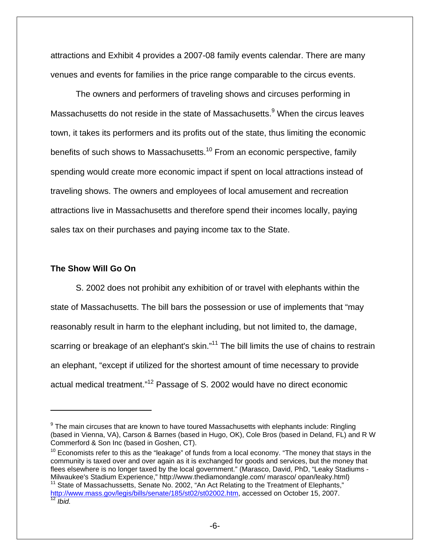attractions and Exhibit 4 provides a 2007-08 family events calendar. There are many venues and events for families in the price range comparable to the circus events.

The owners and performers of traveling shows and circuses performing in Massachusetts do not reside in the state of Massachusetts.<sup>9</sup> When the circus leaves town, it takes its performers and its profits out of the state, thus limiting the economic benefits of such shows to Massachusetts.<sup>10</sup> From an economic perspective, family spending would create more economic impact if spent on local attractions instead of traveling shows. The owners and employees of local amusement and recreation attractions live in Massachusetts and therefore spend their incomes locally, paying sales tax on their purchases and paying income tax to the State.

#### **The Show Will Go On**

1

 S. 2002 does not prohibit any exhibition of or travel with elephants within the state of Massachusetts. The bill bars the possession or use of implements that "may reasonably result in harm to the elephant including, but not limited to, the damage, scarring or breakage of an elephant's skin."<sup>11</sup> The bill limits the use of chains to restrain an elephant, "except if utilized for the shortest amount of time necessary to provide actual medical treatment."12 Passage of S. 2002 would have no direct economic

 $9$  The main circuses that are known to have toured Massachusetts with elephants include: Ringling (based in Vienna, VA), Carson & Barnes (based in Hugo, OK), Cole Bros (based in Deland, FL) and R W Commerford & Son Inc (based in Goshen, CT).

 $10$  Economists refer to this as the "leakage" of funds from a local economy. "The money that stays in the community is taxed over and over again as it is exchanged for goods and services, but the money that flees elsewhere is no longer taxed by the local government." (Marasco, David, PhD, "Leaky Stadiums - Milwaukee's Stadium Experience," http://www.thediamondangle.com/ marasco/ opan/leaky.html)  $11$  State of Massachussetts, Senate No. 2002, "An Act Relating to the Treatment of Elephants,"

http://www.mass.gov/legis/bills/senate/185/st02/st02002.htm, accessed on October 15, 2007. <sup>12</sup> *Ibid.*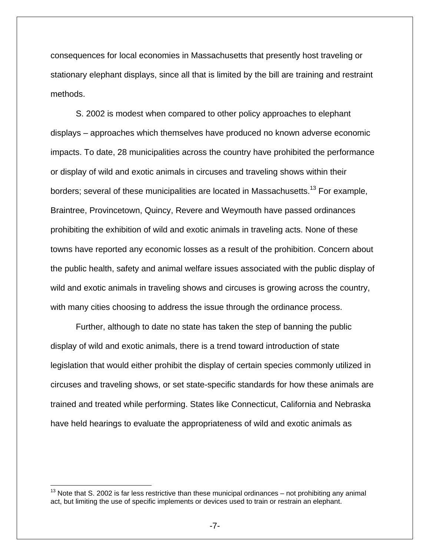consequences for local economies in Massachusetts that presently host traveling or stationary elephant displays, since all that is limited by the bill are training and restraint methods.

 S. 2002 is modest when compared to other policy approaches to elephant displays – approaches which themselves have produced no known adverse economic impacts. To date, 28 municipalities across the country have prohibited the performance or display of wild and exotic animals in circuses and traveling shows within their borders; several of these municipalities are located in Massachusetts.<sup>13</sup> For example, Braintree, Provincetown, Quincy, Revere and Weymouth have passed ordinances prohibiting the exhibition of wild and exotic animals in traveling acts. None of these towns have reported any economic losses as a result of the prohibition. Concern about the public health, safety and animal welfare issues associated with the public display of wild and exotic animals in traveling shows and circuses is growing across the country, with many cities choosing to address the issue through the ordinance process.

 Further, although to date no state has taken the step of banning the public display of wild and exotic animals, there is a trend toward introduction of state legislation that would either prohibit the display of certain species commonly utilized in circuses and traveling shows, or set state-specific standards for how these animals are trained and treated while performing. States like Connecticut, California and Nebraska have held hearings to evaluate the appropriateness of wild and exotic animals as

 $\overline{a}$ 

 $13$  Note that S. 2002 is far less restrictive than these municipal ordinances – not prohibiting any animal act, but limiting the use of specific implements or devices used to train or restrain an elephant.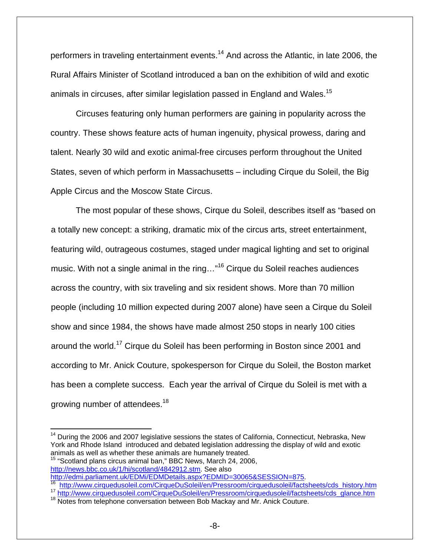performers in traveling entertainment events.<sup>14</sup> And across the Atlantic, in late 2006, the Rural Affairs Minister of Scotland introduced a ban on the exhibition of wild and exotic animals in circuses, after similar legislation passed in England and Wales.<sup>15</sup>

 Circuses featuring only human performers are gaining in popularity across the country. These shows feature acts of human ingenuity, physical prowess, daring and talent. Nearly 30 wild and exotic animal-free circuses perform throughout the United States, seven of which perform in Massachusetts – including Cirque du Soleil, the Big Apple Circus and the Moscow State Circus.

 The most popular of these shows, Cirque du Soleil, describes itself as "based on a totally new concept: a striking, dramatic mix of the circus arts, street entertainment, featuring wild, outrageous costumes, staged under magical lighting and set to original music. With not a single animal in the ring..."<sup>16</sup> Cirque du Soleil reaches audiences across the country, with six traveling and six resident shows. More than 70 million people (including 10 million expected during 2007 alone) have seen a Cirque du Soleil show and since 1984, the shows have made almost 250 stops in nearly 100 cities around the world.17 Cirque du Soleil has been performing in Boston since 2001 and according to Mr. Anick Couture, spokesperson for Cirque du Soleil, the Boston market has been a complete success. Each year the arrival of Cirque du Soleil is met with a growing number of attendees.<sup>18</sup>

 $\overline{a}$ 

 $14$  During the 2006 and 2007 legislative sessions the states of California, Connecticut, Nebraska, New York and Rhode Island introduced and debated legislation addressing the display of wild and exotic animals as well as whether these animals are humanely treated. <sup>15</sup> "Scotland plans circus animal ban," BBC News, March 24, 2006,

http://news.bbc.co.uk/1/hi/scotland/4842912.stm. See also<br>http://edmi.parliament.uk/EDMi/EDMDetails.aspx?EDMID=30065&SESSION=875.

<sup>&</sup>lt;sup>16</sup> http://www.cirquedusoleil.com/CirqueDuSoleil/en/Pressroom/cirquedusoleil/factsheets/cds\_history.htm<br><sup>17</sup> http://www.cirquedusoleil.com/CirqueDuSoleil/en/Pressroom/cirquedusoleil/factsheets/cds\_glance.htm<br><sup>18</sup> Notes fr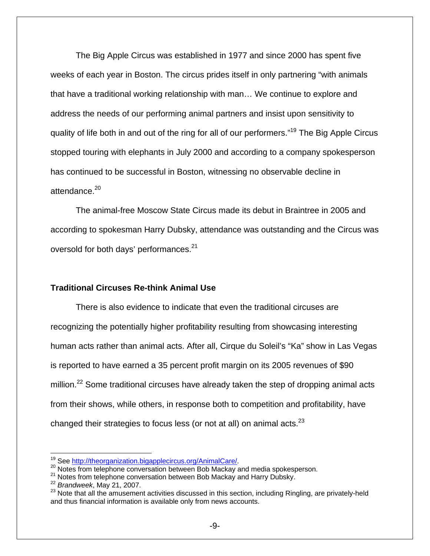The Big Apple Circus was established in 1977 and since 2000 has spent five weeks of each year in Boston. The circus prides itself in only partnering "with animals that have a traditional working relationship with man… We continue to explore and address the needs of our performing animal partners and insist upon sensitivity to quality of life both in and out of the ring for all of our performers."19 The Big Apple Circus stopped touring with elephants in July 2000 and according to a company spokesperson has continued to be successful in Boston, witnessing no observable decline in attendance.<sup>20</sup>

 The animal-free Moscow State Circus made its debut in Braintree in 2005 and according to spokesman Harry Dubsky, attendance was outstanding and the Circus was oversold for both days' performances.<sup>21</sup>

#### **Traditional Circuses Re-think Animal Use**

 There is also evidence to indicate that even the traditional circuses are recognizing the potentially higher profitability resulting from showcasing interesting human acts rather than animal acts. After all, Cirque du Soleil's "Ka" show in Las Vegas is reported to have earned a 35 percent profit margin on its 2005 revenues of \$90 million.<sup>22</sup> Some traditional circuses have already taken the step of dropping animal acts from their shows, while others, in response both to competition and profitability, have changed their strategies to focus less (or not at all) on animal acts. $^{23}$ 

 $\overline{a}$ 

<sup>&</sup>lt;sup>19</sup> See http://theorganization.bigapplecircus.org/AnimalCare/.<br><sup>20</sup> Notes from telephone conversation between Bob Mackay and media spokesperson.<br><sup>21</sup> Notes from telephone conversation between Bob Mackay and Harry Dubsky. and thus financial information is available only from news accounts.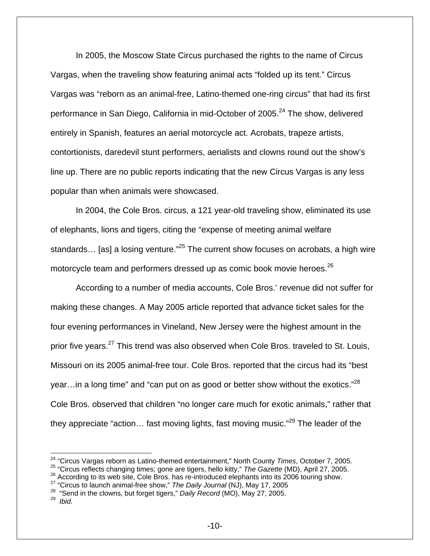In 2005, the Moscow State Circus purchased the rights to the name of Circus Vargas, when the traveling show featuring animal acts "folded up its tent." Circus Vargas was "reborn as an animal-free, Latino-themed one-ring circus" that had its first performance in San Diego, California in mid-October of 2005.<sup>24</sup> The show, delivered entirely in Spanish, features an aerial motorcycle act. Acrobats, trapeze artists, contortionists, daredevil stunt performers, aerialists and clowns round out the show's line up. There are no public reports indicating that the new Circus Vargas is any less popular than when animals were showcased.

 In 2004, the Cole Bros. circus, a 121 year-old traveling show, eliminated its use of elephants, lions and tigers, citing the "expense of meeting animal welfare standards... [as] a losing venture.<sup>"25</sup> The current show focuses on acrobats, a high wire motorcycle team and performers dressed up as comic book movie heroes.<sup>26</sup>

According to a number of media accounts, Cole Bros.' revenue did not suffer for making these changes. A May 2005 article reported that advance ticket sales for the four evening performances in Vineland, New Jersey were the highest amount in the prior five years.<sup>27</sup> This trend was also observed when Cole Bros. traveled to St. Louis, Missouri on its 2005 animal-free tour. Cole Bros. reported that the circus had its "best year... in a long time" and "can put on as good or better show without the exotics." $^{28}$ Cole Bros. observed that children "no longer care much for exotic animals," rather that they appreciate "action... fast moving lights, fast moving music."<sup>29</sup> The leader of the

<sup>&</sup>lt;sup>24</sup> "Circus Vargas reborn as Latino-themed entertainment," North County *Times*, October 7, 2005.<br><sup>25</sup> "Circus reflects changing times; gone are tigers, hello kitty," *The Gazette* (MD), April 27, 2005.

<sup>&</sup>lt;sup>26</sup> According to its web site, Cole Bros. has re-introduced elephants into its 2006 touring show.<br><sup>27</sup> "Circus to launch animal-free show," *The Daily Journal* (NJ), May 17, 2005<br><sup>28</sup> "Send in the clowns, but forget tige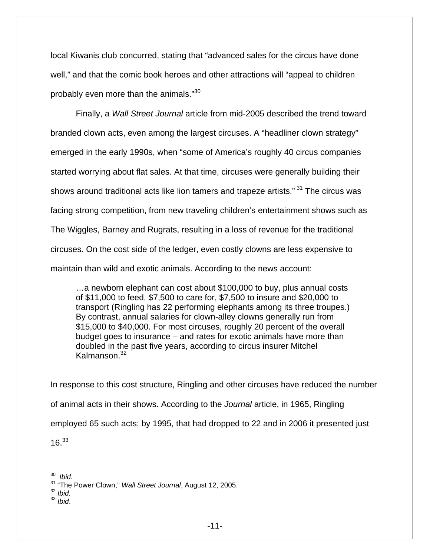local Kiwanis club concurred, stating that "advanced sales for the circus have done well," and that the comic book heroes and other attractions will "appeal to children probably even more than the animals."<sup>30</sup>

 Finally, a *Wall Street Journal* article from mid-2005 described the trend toward branded clown acts, even among the largest circuses. A "headliner clown strategy" emerged in the early 1990s, when "some of America's roughly 40 circus companies started worrying about flat sales. At that time, circuses were generally building their shows around traditional acts like lion tamers and trapeze artists."<sup>31</sup> The circus was facing strong competition, from new traveling children's entertainment shows such as The Wiggles, Barney and Rugrats, resulting in a loss of revenue for the traditional circuses. On the cost side of the ledger, even costly clowns are less expensive to maintain than wild and exotic animals. According to the news account:

…a newborn elephant can cost about \$100,000 to buy, plus annual costs of \$11,000 to feed, \$7,500 to care for, \$7,500 to insure and \$20,000 to transport (Ringling has 22 performing elephants among its three troupes.) By contrast, annual salaries for clown-alley clowns generally run from \$15,000 to \$40,000. For most circuses, roughly 20 percent of the overall budget goes to insurance – and rates for exotic animals have more than doubled in the past five years, according to circus insurer Mitchel Kalmanson.<sup>32</sup>

In response to this cost structure, Ringling and other circuses have reduced the number of animal acts in their shows. According to the *Journal* article, in 1965, Ringling employed 65 such acts; by 1995, that had dropped to 22 and in 2006 it presented just  $16.<sup>33</sup>$ 

<sup>33</sup> *Ibid*.

 $\overline{a}$ 30 *Ibid.*

<sup>&</sup>lt;sup>31</sup> "The Power Clown," *Wall Street Journal*, August 12, 2005.<br><sup>32</sup> *Ibid.*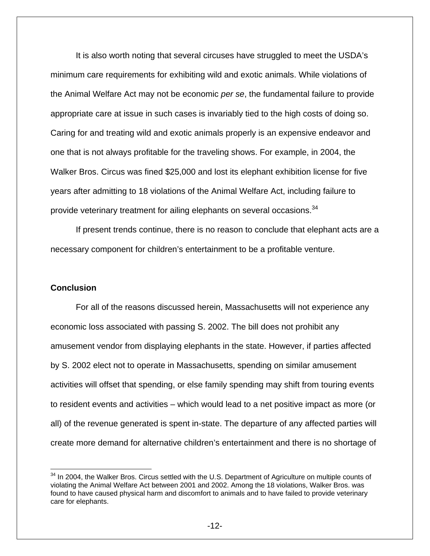It is also worth noting that several circuses have struggled to meet the USDA's minimum care requirements for exhibiting wild and exotic animals. While violations of the Animal Welfare Act may not be economic *per se*, the fundamental failure to provide appropriate care at issue in such cases is invariably tied to the high costs of doing so. Caring for and treating wild and exotic animals properly is an expensive endeavor and one that is not always profitable for the traveling shows. For example, in 2004, the Walker Bros. Circus was fined \$25,000 and lost its elephant exhibition license for five years after admitting to 18 violations of the Animal Welfare Act, including failure to provide veterinary treatment for ailing elephants on several occasions.<sup>34</sup>

If present trends continue, there is no reason to conclude that elephant acts are a necessary component for children's entertainment to be a profitable venture.

#### **Conclusion**

 $\overline{a}$ 

 For all of the reasons discussed herein, Massachusetts will not experience any economic loss associated with passing S. 2002. The bill does not prohibit any amusement vendor from displaying elephants in the state. However, if parties affected by S. 2002 elect not to operate in Massachusetts, spending on similar amusement activities will offset that spending, or else family spending may shift from touring events to resident events and activities – which would lead to a net positive impact as more (or all) of the revenue generated is spent in-state. The departure of any affected parties will create more demand for alternative children's entertainment and there is no shortage of

 $34$  In 2004, the Walker Bros. Circus settled with the U.S. Department of Agriculture on multiple counts of violating the Animal Welfare Act between 2001 and 2002. Among the 18 violations, Walker Bros. was found to have caused physical harm and discomfort to animals and to have failed to provide veterinary care for elephants.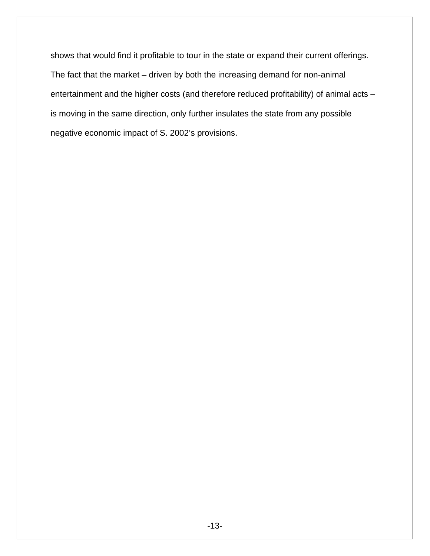shows that would find it profitable to tour in the state or expand their current offerings. The fact that the market – driven by both the increasing demand for non-animal entertainment and the higher costs (and therefore reduced profitability) of animal acts – is moving in the same direction, only further insulates the state from any possible negative economic impact of S. 2002's provisions.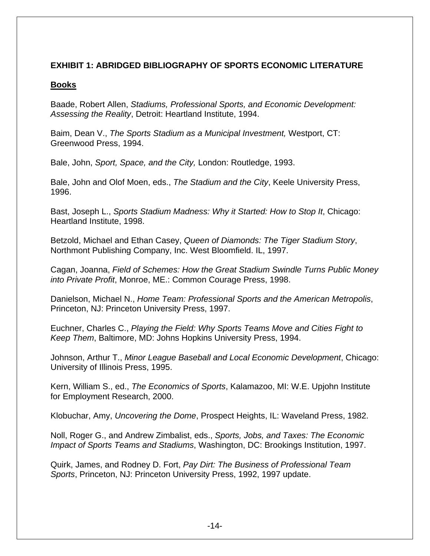## **EXHIBIT 1: ABRIDGED BIBLIOGRAPHY OF SPORTS ECONOMIC LITERATURE**

## **Books**

Baade, Robert Allen, *Stadiums, Professional Sports, and Economic Development: Assessing the Reality*, Detroit: Heartland Institute, 1994.

Baim, Dean V., *The Sports Stadium as a Municipal Investment,* Westport, CT: Greenwood Press, 1994.

Bale, John, *Sport, Space, and the City,* London: Routledge, 1993.

Bale, John and Olof Moen, eds., *The Stadium and the City*, Keele University Press, 1996.

Bast, Joseph L., *Sports Stadium Madness: Why it Started: How to Stop It*, Chicago: Heartland Institute, 1998.

Betzold, Michael and Ethan Casey, *Queen of Diamonds: The Tiger Stadium Story*, Northmont Publishing Company, Inc. West Bloomfield. IL, 1997.

Cagan, Joanna, *Field of Schemes: How the Great Stadium Swindle Turns Public Money into Private Profit*, Monroe, ME.: Common Courage Press, 1998.

Danielson, Michael N., *Home Team: Professional Sports and the American Metropolis*, Princeton, NJ: Princeton University Press, 1997.

Euchner, Charles C., *Playing the Field: Why Sports Teams Move and Cities Fight to Keep Them*, Baltimore, MD: Johns Hopkins University Press, 1994.

Johnson, Arthur T., *Minor League Baseball and Local Economic Development*, Chicago: University of Illinois Press, 1995.

Kern, William S., ed., *The Economics of Sports*, Kalamazoo, MI: W.E. Upjohn Institute for Employment Research, 2000.

Klobuchar, Amy, *Uncovering the Dome*, Prospect Heights, IL: Waveland Press, 1982.

Noll, Roger G., and Andrew Zimbalist, eds., *Sports, Jobs, and Taxes: The Economic Impact of Sports Teams and Stadiums*, Washington, DC: Brookings Institution, 1997.

Quirk, James, and Rodney D. Fort, *Pay Dirt: The Business of Professional Team Sports*, Princeton, NJ: Princeton University Press, 1992, 1997 update.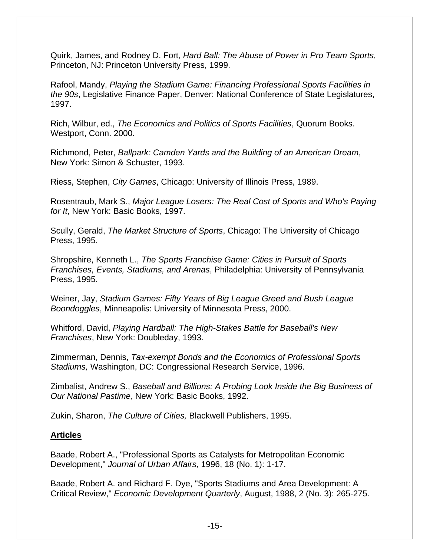Quirk, James, and Rodney D. Fort, *Hard Ball: The Abuse of Power in Pro Team Sports*, Princeton, NJ: Princeton University Press, 1999.

Rafool, Mandy, *Playing the Stadium Game: Financing Professional Sports Facilities in the 90s*, Legislative Finance Paper, Denver: National Conference of State Legislatures, 1997.

Rich, Wilbur, ed., *The Economics and Politics of Sports Facilities*, Quorum Books. Westport, Conn. 2000.

Richmond, Peter, *Ballpark: Camden Yards and the Building of an American Dream*, New York: Simon & Schuster, 1993.

Riess, Stephen, *City Games*, Chicago: University of Illinois Press, 1989.

Rosentraub, Mark S., *Major League Losers: The Real Cost of Sports and Who's Paying for It*, New York: Basic Books, 1997.

Scully, Gerald, *The Market Structure of Sports*, Chicago: The University of Chicago Press, 1995.

Shropshire, Kenneth L., *The Sports Franchise Game: Cities in Pursuit of Sports Franchises, Events, Stadiums, and Arenas*, Philadelphia: University of Pennsylvania Press, 1995.

Weiner, Jay, *Stadium Games: Fifty Years of Big League Greed and Bush League Boondoggles*, Minneapolis: University of Minnesota Press, 2000.

Whitford, David, *Playing Hardball: The High-Stakes Battle for Baseball's New Franchises*, New York: Doubleday, 1993.

Zimmerman, Dennis, *Tax-exempt Bonds and the Economics of Professional Sports Stadiums,* Washington, DC: Congressional Research Service, 1996.

Zimbalist, Andrew S., *Baseball and Billions: A Probing Look Inside the Big Business of Our National Pastime*, New York: Basic Books, 1992.

Zukin, Sharon, *The Culture of Cities,* Blackwell Publishers, 1995.

## **Articles**

Baade, Robert A., "Professional Sports as Catalysts for Metropolitan Economic Development," *Journal of Urban Affairs*, 1996, 18 (No. 1): 1-17.

Baade, Robert A. and Richard F. Dye, "Sports Stadiums and Area Development: A Critical Review," *Economic Development Quarterly*, August, 1988, 2 (No. 3): 265-275.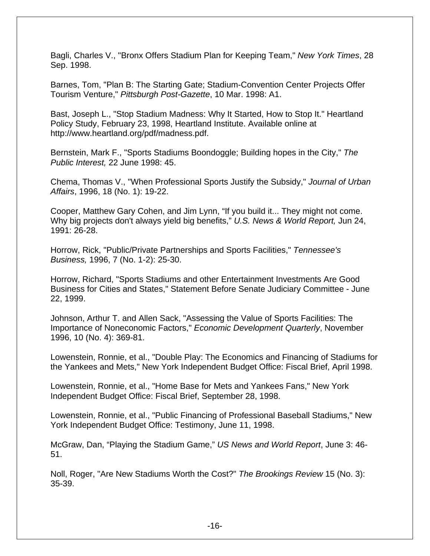Bagli, Charles V., "Bronx Offers Stadium Plan for Keeping Team," *New York Times*, 28 Sep. 1998.

Barnes, Tom, "Plan B: The Starting Gate; Stadium-Convention Center Projects Offer Tourism Venture," *Pittsburgh Post-Gazette*, 10 Mar. 1998: A1.

Bast, Joseph L., "Stop Stadium Madness: Why It Started, How to Stop It." Heartland Policy Study, February 23, 1998, Heartland Institute. Available online at http://www.heartland.org/pdf/madness.pdf.

Bernstein, Mark F., "Sports Stadiums Boondoggle; Building hopes in the City," *The Public Interest,* 22 June 1998: 45.

Chema, Thomas V., "When Professional Sports Justify the Subsidy," *Journal of Urban Affairs*, 1996, 18 (No. 1): 19-22.

Cooper, Matthew Gary Cohen, and Jim Lynn, "If you build it... They might not come. Why big projects don't always yield big benefits," *U.S. News & World Report,* Jun 24, 1991: 26-28.

Horrow, Rick, "Public/Private Partnerships and Sports Facilities," *Tennessee's Business,* 1996, 7 (No. 1-2): 25-30.

Horrow, Richard, "Sports Stadiums and other Entertainment Investments Are Good Business for Cities and States," Statement Before Senate Judiciary Committee - June 22, 1999.

Johnson, Arthur T. and Allen Sack, "Assessing the Value of Sports Facilities: The Importance of Noneconomic Factors," *Economic Development Quarterly*, November 1996, 10 (No. 4): 369-81.

Lowenstein, Ronnie, et al., "Double Play: The Economics and Financing of Stadiums for the Yankees and Mets," New York Independent Budget Office: Fiscal Brief, April 1998.

Lowenstein, Ronnie, et al., "Home Base for Mets and Yankees Fans," New York Independent Budget Office: Fiscal Brief, September 28, 1998.

Lowenstein, Ronnie, et al., "Public Financing of Professional Baseball Stadiums," New York Independent Budget Office: Testimony, June 11, 1998.

McGraw, Dan, "Playing the Stadium Game," *US News and World Report*, June 3: 46- 51.

Noll, Roger, "Are New Stadiums Worth the Cost?" *The Brookings Review* 15 (No. 3): 35-39.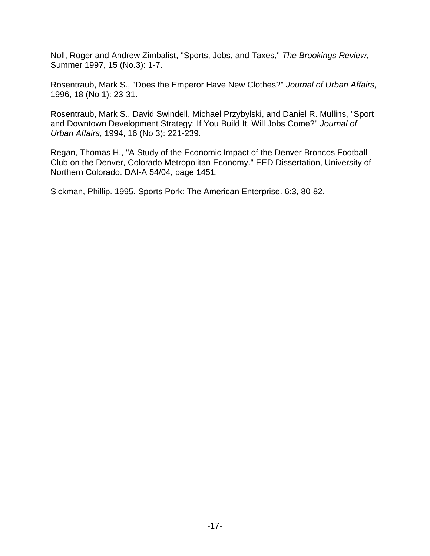Noll, Roger and Andrew Zimbalist, "Sports, Jobs, and Taxes," *The Brookings Review*, Summer 1997, 15 (No.3): 1-7.

Rosentraub, Mark S., "Does the Emperor Have New Clothes?" *Journal of Urban Affairs,* 1996, 18 (No 1): 23-31.

Rosentraub, Mark S., David Swindell, Michael Przybylski, and Daniel R. Mullins, "Sport and Downtown Development Strategy: If You Build It, Will Jobs Come?" *Journal of Urban Affairs*, 1994, 16 (No 3): 221-239.

Regan, Thomas H., "A Study of the Economic Impact of the Denver Broncos Football Club on the Denver, Colorado Metropolitan Economy." EED Dissertation, University of Northern Colorado. DAI-A 54/04, page 1451.

Sickman, Phillip. 1995. Sports Pork: The American Enterprise. 6:3, 80-82.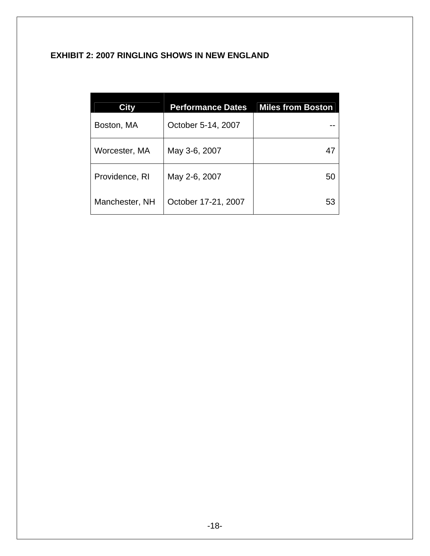# **EXHIBIT 2: 2007 RINGLING SHOWS IN NEW ENGLAND**

| City           | <b>Performance Dates</b> | Miles from Boston |
|----------------|--------------------------|-------------------|
| Boston, MA     | October 5-14, 2007       |                   |
| Worcester, MA  | May 3-6, 2007            | 47                |
| Providence, RI | May 2-6, 2007            | 50                |
| Manchester, NH | October 17-21, 2007      | 53                |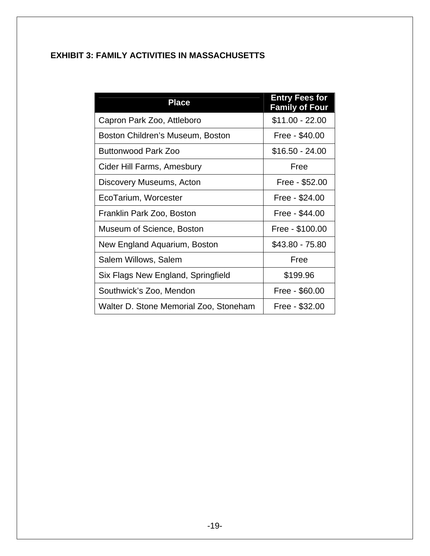# **EXHIBIT 3: FAMILY ACTIVITIES IN MASSACHUSETTS**

| <b>Place</b>                           | <b>Entry Fees for</b><br><b>Family of Four</b> |
|----------------------------------------|------------------------------------------------|
| Capron Park Zoo, Attleboro             | $$11.00 - 22.00$                               |
| Boston Children's Museum, Boston       | Free - \$40.00                                 |
| <b>Buttonwood Park Zoo</b>             | \$16.50 - 24.00                                |
| Cider Hill Farms, Amesbury             | Free                                           |
| Discovery Museums, Acton               | Free - \$52.00                                 |
| EcoTarium, Worcester                   | Free - \$24.00                                 |
| Franklin Park Zoo, Boston              | Free - \$44.00                                 |
| Museum of Science, Boston              | Free - \$100.00                                |
| New England Aquarium, Boston           | \$43.80 - 75.80                                |
| Salem Willows, Salem                   | Free                                           |
| Six Flags New England, Springfield     | \$199.96                                       |
| Southwick's Zoo, Mendon                | Free - \$60.00                                 |
| Walter D. Stone Memorial Zoo, Stoneham | Free - \$32.00                                 |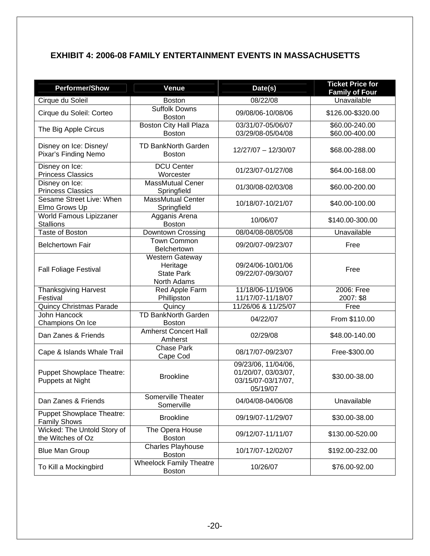# **EXHIBIT 4: 2006-08 FAMILY ENTERTAINMENT EVENTS IN MASSACHUSETTS**

| <b>Performer/Show</b>                                   | <b>Venue</b>                                                           | Date(s)                                                                      | <b>Ticket Price for</b><br><b>Family of Four</b> |
|---------------------------------------------------------|------------------------------------------------------------------------|------------------------------------------------------------------------------|--------------------------------------------------|
| Cirque du Soleil                                        | <b>Boston</b>                                                          | 08/22/08                                                                     | Unavailable                                      |
| Cirque du Soleil: Corteo                                | Suffolk Downs<br><b>Boston</b>                                         | 09/08/06-10/08/06                                                            | \$126.00-\$320.00                                |
| The Big Apple Circus                                    | <b>Boston City Hall Plaza</b><br><b>Boston</b>                         | 03/31/07-05/06/07<br>03/29/08-05/04/08                                       | \$60.00-240.00<br>\$60.00-400.00                 |
| Disney on Ice: Disney/<br>Pixar's Finding Nemo          | <b>TD BankNorth Garden</b><br><b>Boston</b>                            | 12/27/07 - 12/30/07                                                          | \$68.00-288.00                                   |
| Disney on Ice:<br><b>Princess Classics</b>              | <b>DCU Center</b><br>Worcester                                         | 01/23/07-01/27/08                                                            | \$64.00-168.00                                   |
| Disney on Ice:<br><b>Princess Classics</b>              | <b>MassMutual Cener</b><br>Springfield                                 | 01/30/08-02/03/08                                                            | \$60.00-200.00                                   |
| Sesame Street Live: When<br>Elmo Grows Up               | <b>MassMutual Center</b><br>Springfield                                | 10/18/07-10/21/07                                                            | \$40.00-100.00                                   |
| World Famous Lipizzaner<br><b>Stallions</b>             | Agganis Arena<br><b>Boston</b>                                         | 10/06/07                                                                     | \$140.00-300.00                                  |
| <b>Taste of Boston</b>                                  | Downtown Crossing                                                      | 08/04/08-08/05/08                                                            | Unavailable                                      |
| <b>Belchertown Fair</b>                                 | <b>Town Common</b><br><b>Belchertown</b>                               | 09/20/07-09/23/07                                                            | Free                                             |
| <b>Fall Foliage Festival</b>                            | <b>Western Gateway</b><br>Heritage<br><b>State Park</b><br>North Adams | 09/24/06-10/01/06<br>09/22/07-09/30/07                                       | Free                                             |
| <b>Thanksgiving Harvest</b>                             | Red Apple Farm                                                         | 11/18/06-11/19/06                                                            | 2006: Free                                       |
| Festival                                                | Phillipston                                                            | 11/17/07-11/18/07                                                            | 2007: \$8                                        |
| <b>Quincy Christmas Parade</b>                          | Quincy                                                                 | 11/26/06 & 11/25/07                                                          | Free                                             |
| John Hancock<br>Champions On Ice                        | <b>TD BankNorth Garden</b><br><b>Boston</b>                            | 04/22/07                                                                     | From \$110.00                                    |
| Dan Zanes & Friends                                     | <b>Amherst Concert Hall</b><br>Amherst                                 | 02/29/08                                                                     | \$48.00-140.00                                   |
| Cape & Islands Whale Trail                              | <b>Chase Park</b><br>Cape Cod                                          | 08/17/07-09/23/07                                                            | Free-\$300.00                                    |
| <b>Puppet Showplace Theatre:</b><br>Puppets at Night    | <b>Brookline</b>                                                       | 09/23/06, 11/04/06,<br>01/20/07, 03/03/07,<br>03/15/07-03/17/07,<br>05/19/07 | \$30.00-38.00                                    |
| Dan Zanes & Friends                                     | Somerville Theater<br>Somerville                                       | 04/04/08-04/06/08                                                            | Unavailable                                      |
| <b>Puppet Showplace Theatre:</b><br><b>Family Shows</b> | <b>Brookline</b>                                                       | 09/19/07-11/29/07                                                            | \$30.00-38.00                                    |
| Wicked: The Untold Story of<br>the Witches of Oz        | The Opera House<br><b>Boston</b>                                       | 09/12/07-11/11/07                                                            | \$130.00-520.00                                  |
| <b>Blue Man Group</b>                                   | Charles Playhouse<br><b>Boston</b>                                     | 10/17/07-12/02/07                                                            | \$192.00-232.00                                  |
| To Kill a Mockingbird                                   | <b>Wheelock Family Theatre</b><br><b>Boston</b>                        | 10/26/07                                                                     | \$76.00-92.00                                    |